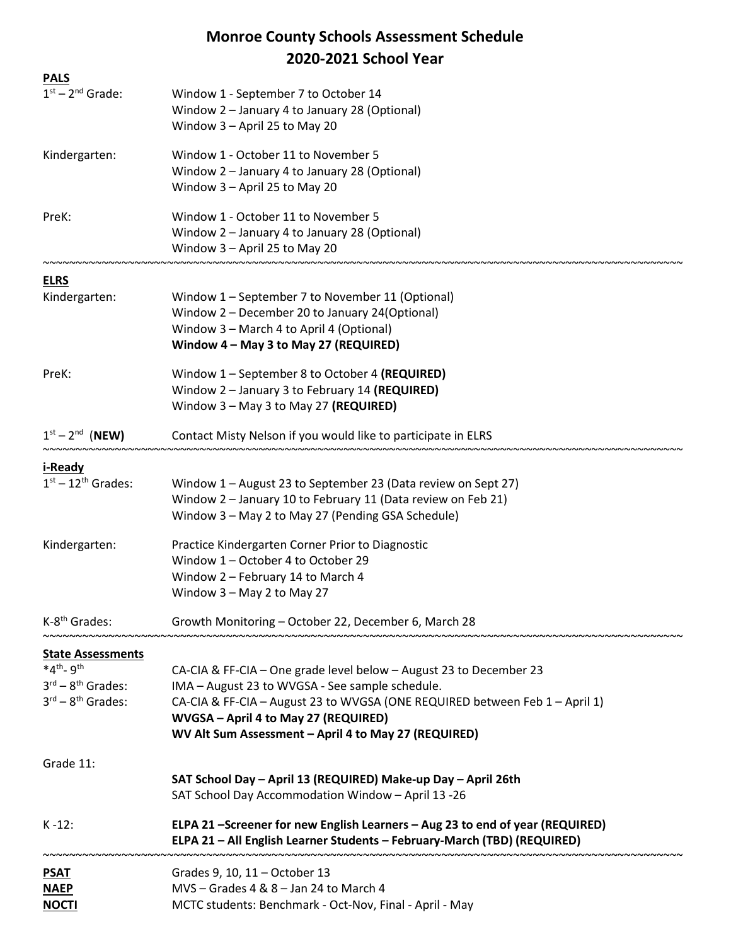## Monroe County Schools Assessment Schedule 2020-2021 School Year

| <b>PALS</b>                             |                                                                                                                                                           |
|-----------------------------------------|-----------------------------------------------------------------------------------------------------------------------------------------------------------|
| $1st - 2nd$ Grade:                      | Window 1 - September 7 to October 14                                                                                                                      |
|                                         | Window 2 - January 4 to January 28 (Optional)                                                                                                             |
|                                         | Window 3 - April 25 to May 20                                                                                                                             |
| Kindergarten:                           | Window 1 - October 11 to November 5                                                                                                                       |
|                                         | Window 2 - January 4 to January 28 (Optional)                                                                                                             |
|                                         | Window 3 - April 25 to May 20                                                                                                                             |
| PreK:                                   | Window 1 - October 11 to November 5                                                                                                                       |
|                                         | Window 2 - January 4 to January 28 (Optional)                                                                                                             |
|                                         | Window 3 - April 25 to May 20                                                                                                                             |
| <b>ELRS</b>                             |                                                                                                                                                           |
| Kindergarten:                           | Window 1 - September 7 to November 11 (Optional)                                                                                                          |
|                                         | Window 2 - December 20 to January 24(Optional)                                                                                                            |
|                                         | Window 3 - March 4 to April 4 (Optional)                                                                                                                  |
|                                         | Window 4 - May 3 to May 27 (REQUIRED)                                                                                                                     |
| PreK:                                   | Window 1 - September 8 to October 4 (REQUIRED)                                                                                                            |
|                                         | Window 2 - January 3 to February 14 (REQUIRED)                                                                                                            |
|                                         | Window 3 - May 3 to May 27 (REQUIRED)                                                                                                                     |
| $1st - 2nd$ (NEW)                       | Contact Misty Nelson if you would like to participate in ELRS                                                                                             |
| i-Ready                                 |                                                                                                                                                           |
| $1st - 12th$ Grades:                    | Window 1 - August 23 to September 23 (Data review on Sept 27)                                                                                             |
|                                         | Window 2 - January 10 to February 11 (Data review on Feb 21)                                                                                              |
|                                         | Window 3 - May 2 to May 27 (Pending GSA Schedule)                                                                                                         |
| Kindergarten:                           | Practice Kindergarten Corner Prior to Diagnostic                                                                                                          |
|                                         | Window 1 - October 4 to October 29                                                                                                                        |
|                                         | Window 2 - February 14 to March 4                                                                                                                         |
|                                         | Window 3 - May 2 to May 27                                                                                                                                |
| K-8 <sup>th</sup> Grades:               | Growth Monitoring - October 22, December 6, March 28                                                                                                      |
| <b>State Assessments</b>                |                                                                                                                                                           |
| $*4th$ - 9 <sup>th</sup>                | CA-CIA & FF-CIA - One grade level below - August 23 to December 23                                                                                        |
| $3^{\text{rd}} - 8^{\text{th}}$ Grades: | IMA - August 23 to WVGSA - See sample schedule.                                                                                                           |
| $3^{\text{rd}} - 8^{\text{th}}$ Grades: | CA-CIA & FF-CIA - August 23 to WVGSA (ONE REQUIRED between Feb 1 - April 1)                                                                               |
|                                         | WVGSA - April 4 to May 27 (REQUIRED)                                                                                                                      |
|                                         | WV Alt Sum Assessment - April 4 to May 27 (REQUIRED)                                                                                                      |
| Grade 11:                               |                                                                                                                                                           |
|                                         | SAT School Day - April 13 (REQUIRED) Make-up Day - April 26th                                                                                             |
|                                         | SAT School Day Accommodation Window - April 13 -26                                                                                                        |
| $K - 12$ :                              | ELPA 21 -Screener for new English Learners - Aug 23 to end of year (REQUIRED)<br>ELPA 21 - All English Learner Students - February-March (TBD) (REQUIRED) |
|                                         |                                                                                                                                                           |
| <b>PSAT</b><br><b>NAEP</b>              | Grades 9, 10, 11 - October 13<br>MVS - Grades 4 & 8 - Jan 24 to March 4                                                                                   |
| <b>NOCTI</b>                            | MCTC students: Benchmark - Oct-Nov, Final - April - May                                                                                                   |
|                                         |                                                                                                                                                           |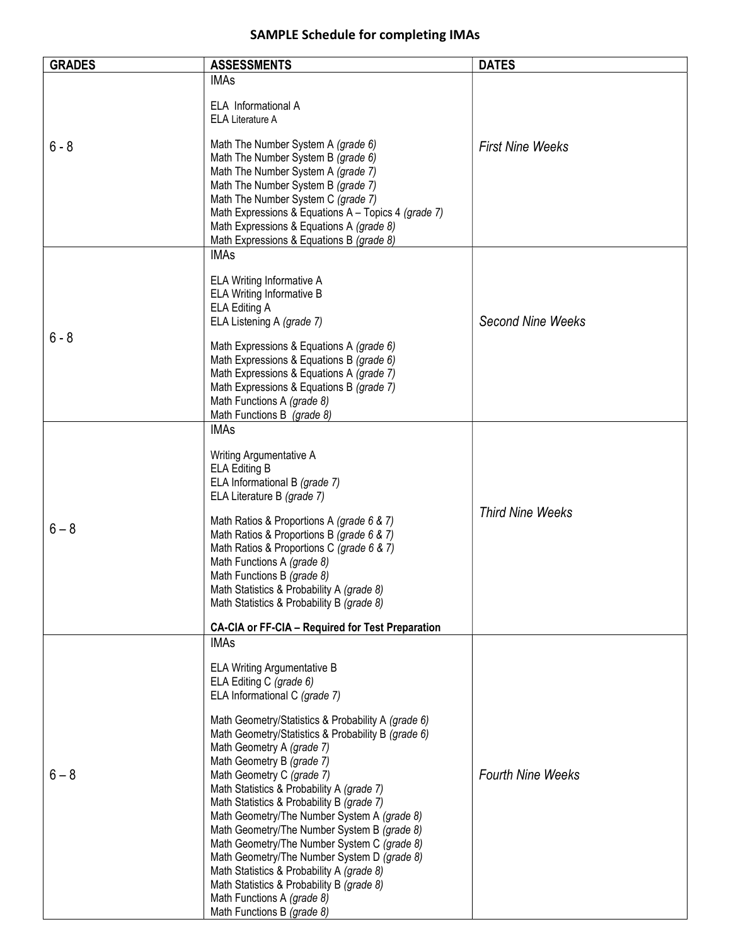## SAMPLE Schedule for completing IMAs

| <b>GRADES</b> | <b>ASSESSMENTS</b>                                                                         | <b>DATES</b>             |
|---------------|--------------------------------------------------------------------------------------------|--------------------------|
|               | <b>IMAs</b>                                                                                |                          |
|               | ELA Informational A                                                                        |                          |
|               | <b>ELA Literature A</b>                                                                    |                          |
| $6 - 8$       | Math The Number System A (grade 6)                                                         | <b>First Nine Weeks</b>  |
|               | Math The Number System B (grade 6)                                                         |                          |
|               | Math The Number System A (grade 7)<br>Math The Number System B (grade 7)                   |                          |
|               | Math The Number System C (grade 7)                                                         |                          |
|               | Math Expressions & Equations A - Topics 4 (grade 7)                                        |                          |
|               | Math Expressions & Equations A (grade 8)<br>Math Expressions & Equations B (grade 8)       |                          |
|               | <b>IMAs</b>                                                                                |                          |
|               |                                                                                            |                          |
|               | ELA Writing Informative A<br>ELA Writing Informative B                                     |                          |
|               | ELA Editing A                                                                              |                          |
|               | ELA Listening A (grade 7)                                                                  | <b>Second Nine Weeks</b> |
| $6 - 8$       | Math Expressions & Equations A (grade 6)                                                   |                          |
|               | Math Expressions & Equations B (grade 6)                                                   |                          |
|               | Math Expressions & Equations A (grade 7)<br>Math Expressions & Equations B (grade 7)       |                          |
|               | Math Functions A (grade 8)                                                                 |                          |
|               | Math Functions B (grade 8)                                                                 |                          |
|               | <b>IMAs</b>                                                                                |                          |
|               | Writing Argumentative A                                                                    |                          |
|               | <b>ELA Editing B</b><br>ELA Informational B (grade 7)                                      |                          |
|               | ELA Literature B (grade 7)                                                                 | <b>Third Nine Weeks</b>  |
|               | Math Ratios & Proportions A (grade 6 & 7)                                                  |                          |
| $6 - 8$       | Math Ratios & Proportions B (grade 6 & 7)                                                  |                          |
|               | Math Ratios & Proportions C (grade 6 & 7)                                                  |                          |
|               | Math Functions A (grade 8)<br>Math Functions B (grade 8)                                   |                          |
|               | Math Statistics & Probability A (grade 8)                                                  |                          |
|               | Math Statistics & Probability B (grade 8)                                                  |                          |
|               | <b>CA-CIA or FF-CIA - Required for Test Preparation</b>                                    |                          |
|               | <b>IMAs</b>                                                                                |                          |
|               | <b>ELA Writing Argumentative B</b>                                                         |                          |
|               | ELA Editing C (grade 6)<br>ELA Informational C (grade 7)                                   |                          |
|               |                                                                                            |                          |
|               | Math Geometry/Statistics & Probability A (grade 6)                                         |                          |
|               | Math Geometry/Statistics & Probability B (grade 6)<br>Math Geometry A (grade 7)            |                          |
|               | Math Geometry B (grade 7)                                                                  |                          |
| $6 - 8$       | Math Geometry C (grade 7)<br>Math Statistics & Probability A (grade 7)                     | <b>Fourth Nine Weeks</b> |
|               | Math Statistics & Probability B (grade 7)                                                  |                          |
|               | Math Geometry/The Number System A (grade 8)                                                |                          |
|               | Math Geometry/The Number System B (grade 8)<br>Math Geometry/The Number System C (grade 8) |                          |
|               | Math Geometry/The Number System D (grade 8)                                                |                          |
|               | Math Statistics & Probability A (grade 8)                                                  |                          |
|               | Math Statistics & Probability B (grade 8)<br>Math Functions A (grade 8)                    |                          |
|               | Math Functions B (grade 8)                                                                 |                          |